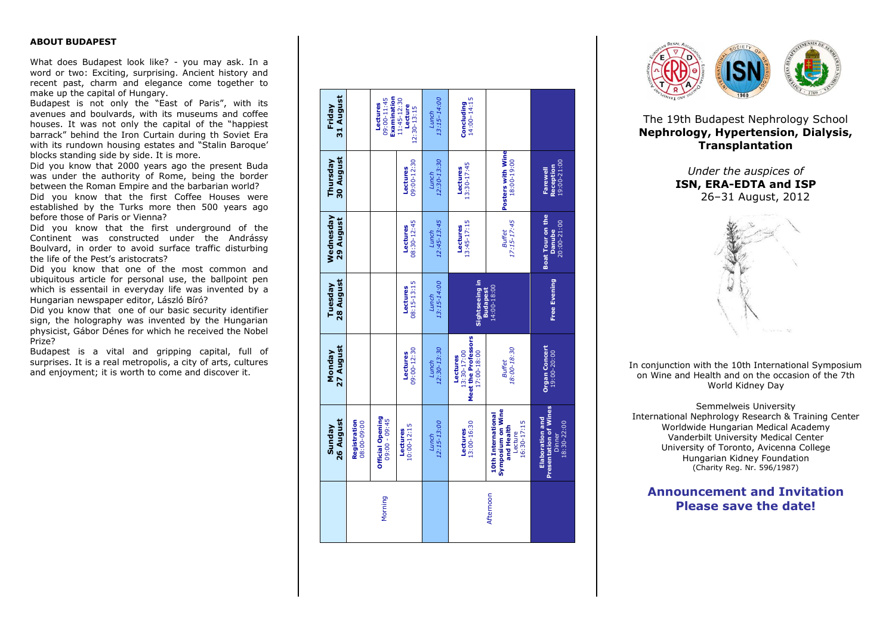### **ABOUT BUDAPEST**

What does Budapest look like? - you may ask. In a word or two: Exciting, surprising. Ancient history and recent past, charm and elegance come together to make up the capital of Hungary.

Budapest is not only the "East of Paris", with its ave nues and boulvards, with its museums and coffee houses. It was not only the capital of the "happiest barrack" behind the Iron Curtain during th Soviet Era with its rundown housing estates and "Stalin Baroque' blocks standing side by side. It is more.

Did you know that 2000 years ago the present Buda was under the authority of Rome, being the border between the Roman Empire and the barbarian world?

Did you know that the first Coffee Houses were established by the Turks more then 500 years ago before those of Paris or Vienna?

Did you know that the first underground of the Continent was constructed under the Andr ássy Boulvard, in order to avoid surface traffic disturbing the life of the Pest's aristocrats?

Did you know that one of the most common and ubiquitous article for personal use, the ballpoint pen which is essentail in everyday life was invented by a Hungarian newspaper editor, László Bíró?

Did you know that one of our basic security identifier sign, the holography was invented by the Hungarian physicist, Gábor Dénes for which he received the Nobel Prize?

Budapest is a vital and gripping capital, full of surprises. It is a real metropolis, a city of arts, cultures and enjoyment; it is worth to come and discover it .

#### Friday<br>31 August **31 August Examination** *Lunch 13:15–14:00* **Concluding** 14:00–14:15 09:00-11:45 11:45-12:30 **Lectures Lecture** 12:30-13:15 **Posters with Wine Thursday 30 August osters with Winds** *Lunch 12:30-13:30* **Lectures** 09:00-12:30 **Farewell Reception** 19:00-21:00 **Lectures** 13:30-17:45 **Boat Tour on the Wednesday 29 August** *12:45-13:45 17:15-17:45* **Lectures** 08:30-12:45 **Lectures** 13:45-17:15 **Danube** 20:00-21:00 *Lunch Buffet* **Tuesday 28 August Sightseeing in Free Evening** *Lunch 13:15-14:00* **Lectures** 08:15-13:15 14:00-18:00 **Budapest Meet the Professors Monday 27 August Drgan Concert**<br>19:00-20:00 **Organ Concert Lectures** 09:00-12:30 *Lunch 12:30-13:30 Buffet 18:00-18:30* 13:30-17:00 17:00-18:00 **Lectures Symposium on Wine Presentation of Wines 10th International**<br>Symposium on Wine<br>and Health **10th International Official Opening**<br>09:00 - 09:45 **Elaboration and**<br>ssentation of Wir **Elaboration and Official Opening Sunday 26 August** 09:00 - 09:45 **Registration** 08:00-09:00 *Lunch 12:15-13:00* **Lectures** 13:00-16:30 Lecture 16:30-17:15 Dinner 18:30-22:00 **Lectures** 10:00-12:15 Afternoon Morning



The 19th Budapest Nephrology School **Nephrology, Hypertension, Dialysis, Transplantation**

> *Under the auspices of* **ISN, ERA -EDTA and ISP** 26 –31 August, 2012



In conjunction with the 10th International Symposium on Wine and Health and on the occasion of the 7th World Kidney Day

Semmelweis University International Nephrology Research & Training Center Worldwide Hungarian Medical Academy Vanderbilt University Medical Center University of Toronto, Avicenna College Hungarian Kidney Foundation (Charity Reg. Nr. 596/1987)

# **Announcement and Invitation Please save the date!**